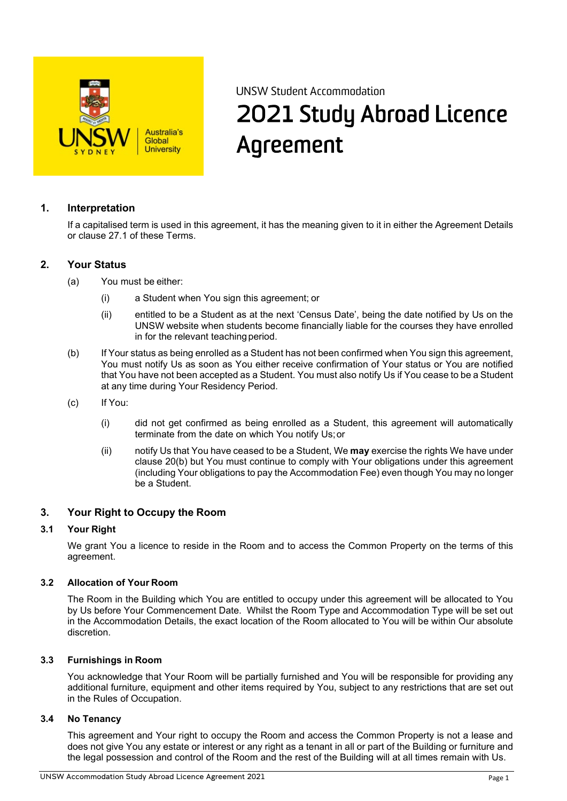

# UNSW Student Accommodation 2021 Study Abroad Licence Agreement

## **1. Interpretation**

If a capitalised term is used in this agreement, it has the meaning given to it in either the Agreement Details or clause 27.1 of these Terms.

#### **2. Your Status**

- (a) You must be either:
	- (i) a Student when You sign this agreement; or
	- (ii) entitled to be a Student as at the next 'Census Date', being the date notified by Us on the UNSW website when students become financially liable for the courses they have enrolled in for the relevant teaching period.
- (b) If Your status as being enrolled as a Student has not been confirmed when You sign this agreement, You must notify Us as soon as You either receive confirmation of Your status or You are notified that You have not been accepted as a Student. You must also notify Us if You cease to be a Student at any time during Your Residency Period.
- (c) If You:
	- (i) did not get confirmed as being enrolled as a Student, this agreement will automatically terminate from the date on which You notify Us;or
	- (ii) notify Us that You have ceased to be a Student, We **may** exercise the rights We have under clause 20(b) but You must continue to comply with Your obligations under this agreement (including Your obligations to pay the Accommodation Fee) even though You may no longer be a Student.

#### **3. Your Right to Occupy the Room**

#### **3.1 Your Right**

We grant You a licence to reside in the Room and to access the Common Property on the terms of this agreement.

#### **3.2 Allocation of Your Room**

The Room in the Building which You are entitled to occupy under this agreement will be allocated to You by Us before Your Commencement Date. Whilst the Room Type and Accommodation Type will be set out in the Accommodation Details, the exact location of the Room allocated to You will be within Our absolute discretion.

#### **3.3 Furnishings in Room**

You acknowledge that Your Room will be partially furnished and You will be responsible for providing any additional furniture, equipment and other items required by You, subject to any restrictions that are set out in the Rules of Occupation.

#### **3.4 No Tenancy**

This agreement and Your right to occupy the Room and access the Common Property is not a lease and does not give You any estate or interest or any right as a tenant in all or part of the Building or furniture and the legal possession and control of the Room and the rest of the Building will at all times remain with Us.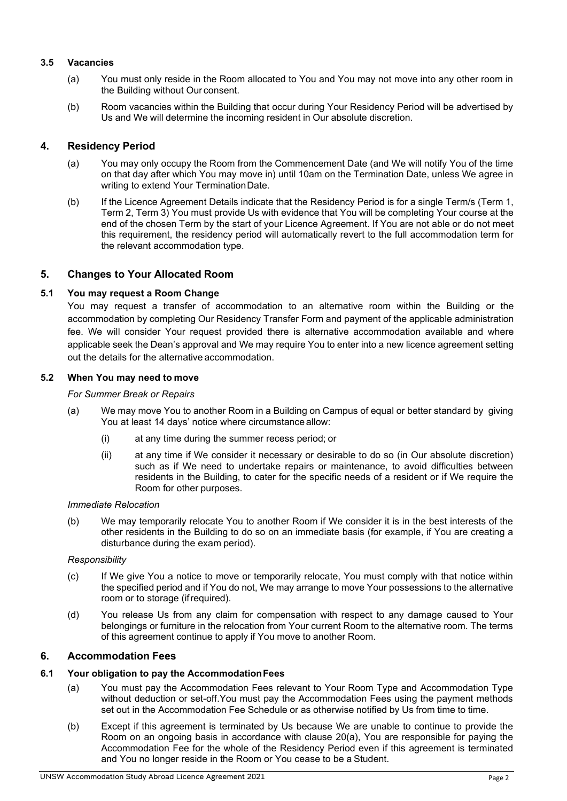#### **3.5 Vacancies**

- (a) You must only reside in the Room allocated to You and You may not move into any other room in the Building without Our consent.
- (b) Room vacancies within the Building that occur during Your Residency Period will be advertised by Us and We will determine the incoming resident in Our absolute discretion.

## **4. Residency Period**

- (a) You may only occupy the Room from the Commencement Date (and We will notify You of the time on that day after which You may move in) until 10am on the Termination Date, unless We agree in writing to extend Your TerminationDate.
- (b) If the Licence Agreement Details indicate that the Residency Period is for a single Term/s (Term 1, Term 2, Term 3) You must provide Us with evidence that You will be completing Your course at the end of the chosen Term by the start of your Licence Agreement. If You are not able or do not meet this requirement, the residency period will automatically revert to the full accommodation term for the relevant accommodation type.

## **5. Changes to Your Allocated Room**

#### **5.1 You may request a Room Change**

You may request a transfer of accommodation to an alternative room within the Building or the accommodation by completing Our Residency Transfer Form and payment of the applicable administration fee. We will consider Your request provided there is alternative accommodation available and where applicable seek the Dean's approval and We may require You to enter into a new licence agreement setting out the details for the alternative accommodation.

#### **5.2 When You may need to move**

#### *For Summer Break or Repairs*

- (a) We may move You to another Room in a Building on Campus of equal or better standard by giving You at least 14 days' notice where circumstance allow:
	- (i) at any time during the summer recess period; or
	- (ii) at any time if We consider it necessary or desirable to do so (in Our absolute discretion) such as if We need to undertake repairs or maintenance, to avoid difficulties between residents in the Building, to cater for the specific needs of a resident or if We require the Room for other purposes.

#### *Immediate Relocation*

(b) We may temporarily relocate You to another Room if We consider it is in the best interests of the other residents in the Building to do so on an immediate basis (for example, if You are creating a disturbance during the exam period).

#### *Responsibility*

- (c) If We give You a notice to move or temporarily relocate, You must comply with that notice within the specified period and if You do not, We may arrange to move Your possessions to the alternative room or to storage (ifrequired).
- (d) You release Us from any claim for compensation with respect to any damage caused to Your belongings or furniture in the relocation from Your current Room to the alternative room. The terms of this agreement continue to apply if You move to another Room.

## **6. Accommodation Fees**

# **6.1 Your obligation to pay the AccommodationFees**

- (a) You must pay the Accommodation Fees relevant to Your Room Type and Accommodation Type without deduction or set-off.You must pay the Accommodation Fees using the payment methods set out in the Accommodation Fee Schedule or as otherwise notified by Us from time to time.
- (b) Except if this agreement is terminated by Us because We are unable to continue to provide the Room on an ongoing basis in accordance with clause 20(a), You are responsible for paying the Accommodation Fee for the whole of the Residency Period even if this agreement is terminated and You no longer reside in the Room or You cease to be a Student.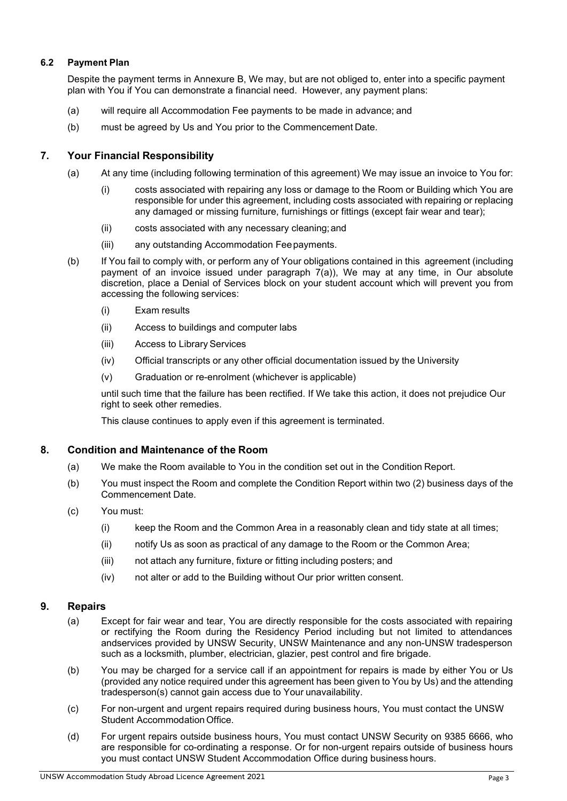## **6.2 Payment Plan**

Despite the payment terms in Annexure B, We may, but are not obliged to, enter into a specific payment plan with You if You can demonstrate a financial need. However, any payment plans:

- (a) will require all Accommodation Fee payments to be made in advance; and
- (b) must be agreed by Us and You prior to the Commencement Date.

#### **7. Your Financial Responsibility**

- (a) At any time (including following termination of this agreement) We may issue an invoice to You for:
	- (i) costs associated with repairing any loss or damage to the Room or Building which You are responsible for under this agreement, including costs associated with repairing or replacing any damaged or missing furniture, furnishings or fittings (except fair wear and tear);
	- (ii) costs associated with any necessary cleaning;and
	- (iii) any outstanding Accommodation Feepayments.
- (b) If You fail to comply with, or perform any of Your obligations contained in this agreement (including payment of an invoice issued under paragraph 7(a)), We may at any time, in Our absolute discretion, place a Denial of Services block on your student account which will prevent you from accessing the following services:
	- (i) Exam results
	- (ii) Access to buildings and computer labs
	- (iii) Access to Library Services
	- (iv) Official transcripts or any other official documentation issued by the University
	- (v) Graduation or re-enrolment (whichever is applicable)

until such time that the failure has been rectified. If We take this action, it does not prejudice Our right to seek other remedies.

This clause continues to apply even if this agreement is terminated.

#### **8. Condition and Maintenance of the Room**

- (a) We make the Room available to You in the condition set out in the Condition Report.
- (b) You must inspect the Room and complete the Condition Report within two (2) business days of the Commencement Date.
- (c) You must:
	- (i) keep the Room and the Common Area in a reasonably clean and tidy state at all times;
	- (ii) notify Us as soon as practical of any damage to the Room or the Common Area;
	- (iii) not attach any furniture, fixture or fitting including posters; and
	- (iv) not alter or add to the Building without Our prior written consent.

#### **9. Repairs**

- (a) Except for fair wear and tear, You are directly responsible for the costs associated with repairing or rectifying the Room during the Residency Period including but not limited to attendances andservices provided by UNSW Security, UNSW Maintenance and any non-UNSW tradesperson such as a locksmith, plumber, electrician, glazier, pest control and fire brigade.
- (b) You may be charged for a service call if an appointment for repairs is made by either You or Us (provided any notice required under this agreement has been given to You by Us) and the attending tradesperson(s) cannot gain access due to Your unavailability.
- (c) For non-urgent and urgent repairs required during business hours, You must contact the UNSW Student Accommodation Office.
- (d) For urgent repairs outside business hours, You must contact UNSW Security on 9385 6666, who are responsible for co-ordinating a response. Or for non-urgent repairs outside of business hours you must contact UNSW Student Accommodation Office during business hours.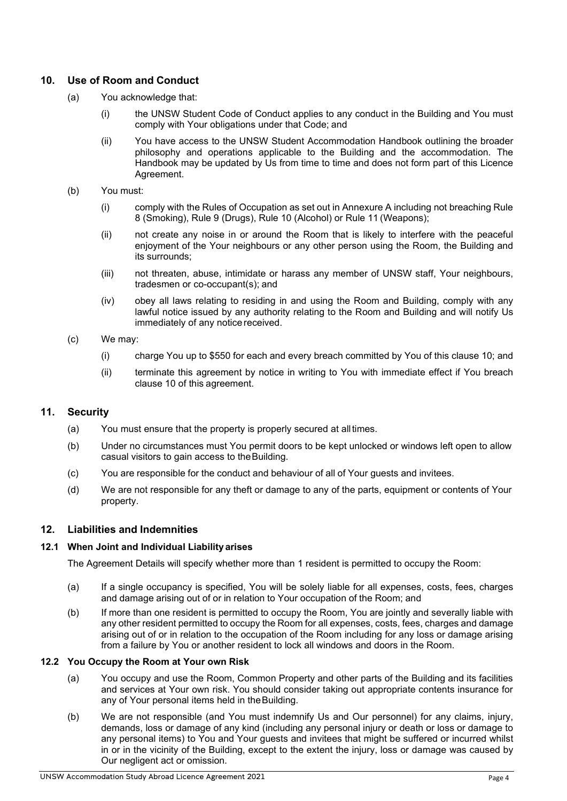## **10. Use of Room and Conduct**

- (a) You acknowledge that:
	- (i) the UNSW Student Code of Conduct applies to any conduct in the Building and You must comply with Your obligations under that Code; and
	- (ii) You have access to the UNSW Student Accommodation Handbook outlining the broader philosophy and operations applicable to the Building and the accommodation. The Handbook may be updated by Us from time to time and does not form part of this Licence Agreement.
- (b) You must:
	- (i) comply with the Rules of Occupation as set out in Annexure A including not breaching Rule 8 (Smoking), Rule 9 (Drugs), Rule 10 (Alcohol) or Rule 11 (Weapons);
	- (ii) not create any noise in or around the Room that is likely to interfere with the peaceful enjoyment of the Your neighbours or any other person using the Room, the Building and its surrounds;
	- (iii) not threaten, abuse, intimidate or harass any member of UNSW staff, Your neighbours, tradesmen or co-occupant(s); and
	- (iv) obey all laws relating to residing in and using the Room and Building, comply with any lawful notice issued by any authority relating to the Room and Building and will notify Us immediately of any notice received.
- (c) We may:
	- (i) charge You up to \$550 for each and every breach committed by You of this clause 10; and
	- (ii) terminate this agreement by notice in writing to You with immediate effect if You breach clause 10 of this agreement.

## **11. Security**

- (a) You must ensure that the property is properly secured at alltimes.
- (b) Under no circumstances must You permit doors to be kept unlocked or windows left open to allow casual visitors to gain access to theBuilding.
- (c) You are responsible for the conduct and behaviour of all of Your guests and invitees.
- (d) We are not responsible for any theft or damage to any of the parts, equipment or contents of Your property.

## **12. Liabilities and Indemnities**

#### **12.1 When Joint and Individual Liability arises**

The Agreement Details will specify whether more than 1 resident is permitted to occupy the Room:

- (a) If a single occupancy is specified, You will be solely liable for all expenses, costs, fees, charges and damage arising out of or in relation to Your occupation of the Room; and
- (b) If more than one resident is permitted to occupy the Room, You are jointly and severally liable with any other resident permitted to occupy the Room for all expenses, costs, fees, charges and damage arising out of or in relation to the occupation of the Room including for any loss or damage arising from a failure by You or another resident to lock all windows and doors in the Room.

#### **12.2 You Occupy the Room at Your own Risk**

- (a) You occupy and use the Room, Common Property and other parts of the Building and its facilities and services at Your own risk. You should consider taking out appropriate contents insurance for any of Your personal items held in the Building.
- (b) We are not responsible (and You must indemnify Us and Our personnel) for any claims, injury, demands, loss or damage of any kind (including any personal injury or death or loss or damage to any personal items) to You and Your guests and invitees that might be suffered or incurred whilst in or in the vicinity of the Building, except to the extent the injury, loss or damage was caused by Our negligent act or omission.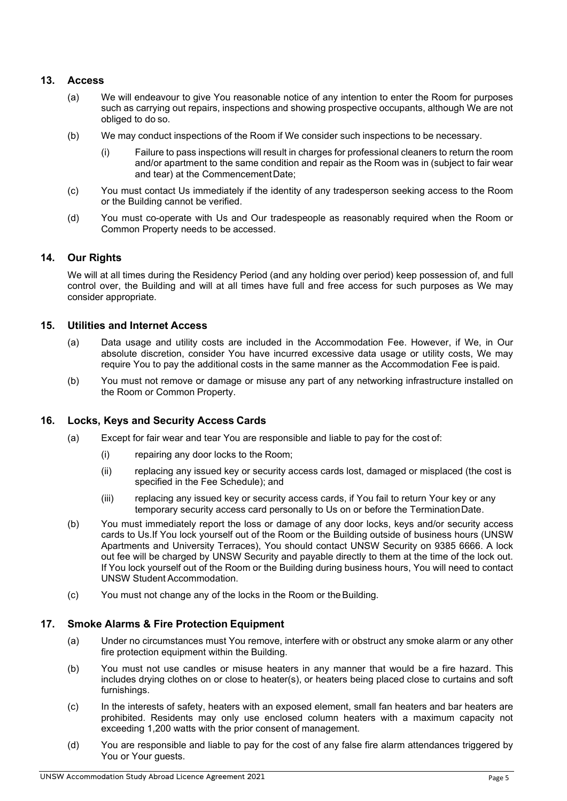## **13. Access**

- (a) We will endeavour to give You reasonable notice of any intention to enter the Room for purposes such as carrying out repairs, inspections and showing prospective occupants, although We are not obliged to do so.
- (b) We may conduct inspections of the Room if We consider such inspections to be necessary.
	- (i) Failure to pass inspections will result in charges for professional cleaners to return the room and/or apartment to the same condition and repair as the Room was in (subject to fair wear and tear) at the CommencementDate;
- (c) You must contact Us immediately if the identity of any tradesperson seeking access to the Room or the Building cannot be verified.
- (d) You must co-operate with Us and Our tradespeople as reasonably required when the Room or Common Property needs to be accessed.

## **14. Our Rights**

We will at all times during the Residency Period (and any holding over period) keep possession of, and full control over, the Building and will at all times have full and free access for such purposes as We may consider appropriate.

#### **15. Utilities and Internet Access**

- (a) Data usage and utility costs are included in the Accommodation Fee. However, if We, in Our absolute discretion, consider You have incurred excessive data usage or utility costs, We may require You to pay the additional costs in the same manner as the Accommodation Fee is paid.
- (b) You must not remove or damage or misuse any part of any networking infrastructure installed on the Room or Common Property.

## **16. Locks, Keys and Security Access Cards**

- (a) Except for fair wear and tear You are responsible and liable to pay for the cost of:
	- (i) repairing any door locks to the Room;
	- (ii) replacing any issued key or security access cards lost, damaged or misplaced (the cost is specified in the Fee Schedule); and
	- (iii) replacing any issued key or security access cards, if You fail to return Your key or any temporary security access card personally to Us on or before the TerminationDate.
- (b) You must immediately report the loss or damage of any door locks, keys and/or security access cards to Us.If You lock yourself out of the Room or the Building outside of business hours (UNSW Apartments and University Terraces), You should contact UNSW Security on 9385 6666. A lock out fee will be charged by UNSW Security and payable directly to them at the time of the lock out. If You lock yourself out of the Room or the Building during business hours, You will need to contact UNSW Student Accommodation.
- (c) You must not change any of the locks in the Room or theBuilding.

## **17. Smoke Alarms & Fire Protection Equipment**

- (a) Under no circumstances must You remove, interfere with or obstruct any smoke alarm or any other fire protection equipment within the Building.
- (b) You must not use candles or misuse heaters in any manner that would be a fire hazard. This includes drying clothes on or close to heater(s), or heaters being placed close to curtains and soft furnishings.
- (c) In the interests of safety, heaters with an exposed element, small fan heaters and bar heaters are prohibited. Residents may only use enclosed column heaters with a maximum capacity not exceeding 1,200 watts with the prior consent of management.
- (d) You are responsible and liable to pay for the cost of any false fire alarm attendances triggered by You or Your quests.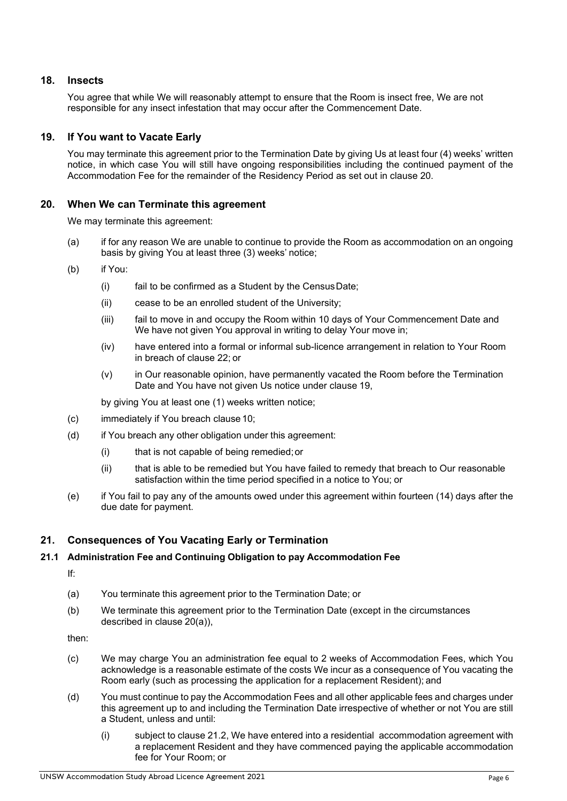## **18. Insects**

You agree that while We will reasonably attempt to ensure that the Room is insect free, We are not responsible for any insect infestation that may occur after the Commencement Date.

## **19. If You want to Vacate Early**

You may terminate this agreement prior to the Termination Date by giving Us at least four (4) weeks' written notice, in which case You will still have ongoing responsibilities including the continued payment of the Accommodation Fee for the remainder of the Residency Period as set out in clause 20.

## **20. When We can Terminate this agreement**

We may terminate this agreement:

- (a) if for any reason We are unable to continue to provide the Room as accommodation on an ongoing basis by giving You at least three (3) weeks' notice;
- (b) if You:
	- (i) fail to be confirmed as a Student by the CensusDate;
	- (ii) cease to be an enrolled student of the University;
	- (iii) fail to move in and occupy the Room within 10 days of Your Commencement Date and We have not given You approval in writing to delay Your move in;
	- (iv) have entered into a formal or informal sub-licence arrangement in relation to Your Room in breach of clause 22; or
	- (v) in Our reasonable opinion, have permanently vacated the Room before the Termination Date and You have not given Us notice under clause 19,

by giving You at least one (1) weeks written notice;

- (c) immediately if You breach clause 10;
- (d) if You breach any other obligation under this agreement:
	- (i) that is not capable of being remedied;or
	- (ii) that is able to be remedied but You have failed to remedy that breach to Our reasonable satisfaction within the time period specified in a notice to You; or
- (e) if You fail to pay any of the amounts owed under this agreement within fourteen (14) days after the due date for payment.

## **21. Consequences of You Vacating Early or Termination**

#### **21.1 Administration Fee and Continuing Obligation to pay Accommodation Fee**

If:

- (a) You terminate this agreement prior to the Termination Date; or
- (b) We terminate this agreement prior to the Termination Date (except in the circumstances described in clause 20(a)),

then:

- (c) We may charge You an administration fee equal to 2 weeks of Accommodation Fees, which You acknowledge is a reasonable estimate of the costs We incur as a consequence of You vacating the Room early (such as processing the application for a replacement Resident); and
- (d) You must continue to pay the Accommodation Fees and all other applicable fees and charges under this agreement up to and including the Termination Date irrespective of whether or not You are still a Student, unless and until:
	- (i) subject to clause 21.2, We have entered into a residential accommodation agreement with a replacement Resident and they have commenced paying the applicable accommodation fee for Your Room; or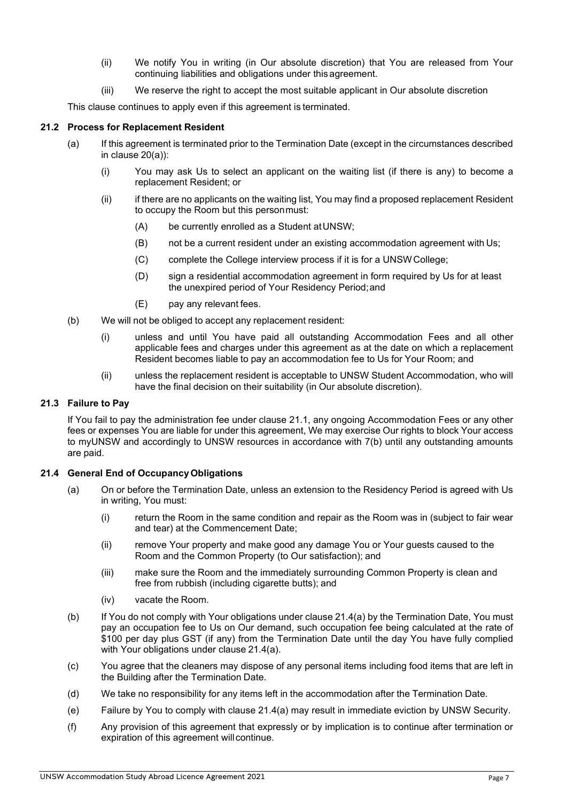- (ii) We notify You in writing (in Our absolute discretion) that You are released from Your continuing liabilities and obligations under this agreement.
- (iii) We reserve the right to accept the most suitable applicant in Our absolute discretion

This clause continues to apply even if this agreement is terminated.

#### **21.2 Process for Replacement Resident**

- (a) If this agreement is terminated prior to the Termination Date (except in the circumstances described in clause 20(a)):
	- (i) You may ask Us to select an applicant on the waiting list (if there is any) to become a replacement Resident; or
	- (ii) if there are no applicants on the waiting list, You may find a proposed replacement Resident to occupy the Room but this personmust:
		- (A) be currently enrolled as a Student atUNSW;
		- (B) not be a current resident under an existing accommodation agreement with Us;
		- (C) complete the College interview process if it is for a UNSWCollege;
		- (D) sign a residential accommodation agreement in form required by Us for at least the unexpired period of Your Residency Period;and
		- (E) pay any relevant fees.
- (b) We will not be obliged to accept any replacement resident:
	- (i) unless and until You have paid all outstanding Accommodation Fees and all other applicable fees and charges under this agreement as at the date on which a replacement Resident becomes liable to pay an accommodation fee to Us for Your Room; and
	- (ii) unless the replacement resident is acceptable to UNSW Student Accommodation, who will have the final decision on their suitability (in Our absolute discretion).

## **21.3 Failure to Pay**

If You fail to pay the administration fee under clause 21.1, any ongoing Accommodation Fees or any other fees or expenses You are liable for under this agreement, We may exercise Our rights to block Your access to myUNSW and accordingly to UNSW resources in accordance with 7(b) until any outstanding amounts are paid.

#### **21.4 General End of OccupancyObligations**

- (a) On or before the Termination Date, unless an extension to the Residency Period is agreed with Us in writing, You must:
	- (i) return the Room in the same condition and repair as the Room was in (subject to fair wear and tear) at the Commencement Date;
	- (ii) remove Your property and make good any damage You or Your guests caused to the Room and the Common Property (to Our satisfaction); and
	- (iii) make sure the Room and the immediately surrounding Common Property is clean and free from rubbish (including cigarette butts); and
	- (iv) vacate the Room.
- (b) If You do not comply with Your obligations under clause 21.4(a) by the Termination Date, You must pay an occupation fee to Us on Our demand, such occupation fee being calculated at the rate of \$100 per day plus GST (if any) from the Termination Date until the day You have fully complied with Your obligations under clause 21.4(a).
- (c) You agree that the cleaners may dispose of any personal items including food items that are left in the Building after the Termination Date.
- (d) We take no responsibility for any items left in the accommodation after the Termination Date.
- (e) Failure by You to comply with clause 21.4(a) may result in immediate eviction by UNSW Security.
- (f) Any provision of this agreement that expressly or by implication is to continue after termination or expiration of this agreement will continue.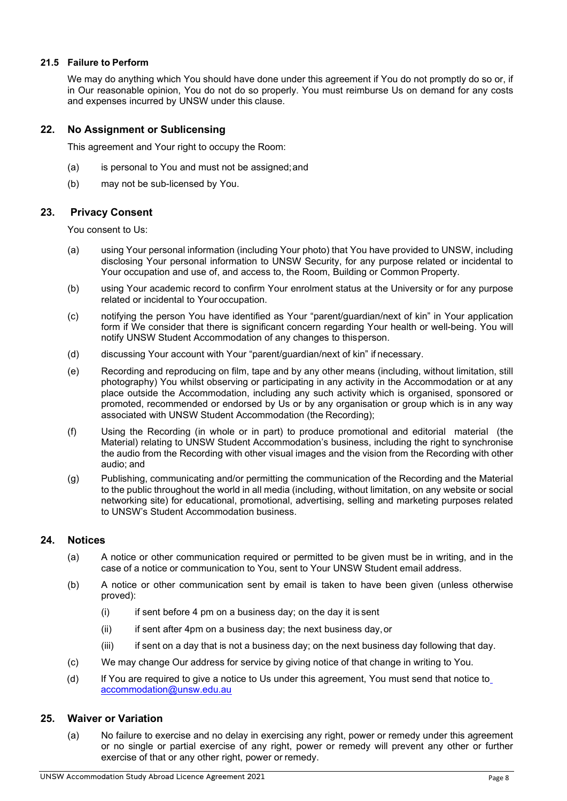#### **21.5 Failure to Perform**

We may do anything which You should have done under this agreement if You do not promptly do so or, if in Our reasonable opinion, You do not do so properly. You must reimburse Us on demand for any costs and expenses incurred by UNSW under this clause.

## **22. No Assignment or Sublicensing**

This agreement and Your right to occupy the Room:

- (a) is personal to You and must not be assigned;and
- (b) may not be sub-licensed by You.

#### **23. Privacy Consent**

You consent to Us:

- (a) using Your personal information (including Your photo) that You have provided to UNSW, including disclosing Your personal information to UNSW Security, for any purpose related or incidental to Your occupation and use of, and access to, the Room, Building or Common Property.
- (b) using Your academic record to confirm Your enrolment status at the University or for any purpose related or incidental to Your occupation.
- (c) notifying the person You have identified as Your "parent/guardian/next of kin" in Your application form if We consider that there is significant concern regarding Your health or well-being. You will notify UNSW Student Accommodation of any changes to thisperson.
- (d) discussing Your account with Your "parent/guardian/next of kin" if necessary.
- (e) Recording and reproducing on film, tape and by any other means (including, without limitation, still photography) You whilst observing or participating in any activity in the Accommodation or at any place outside the Accommodation, including any such activity which is organised, sponsored or promoted, recommended or endorsed by Us or by any organisation or group which is in any way associated with UNSW Student Accommodation (the Recording);
- (f) Using the Recording (in whole or in part) to produce promotional and editorial material (the Material) relating to UNSW Student Accommodation's business, including the right to synchronise the audio from the Recording with other visual images and the vision from the Recording with other audio; and
- (g) Publishing, communicating and/or permitting the communication of the Recording and the Material to the public throughout the world in all media (including, without limitation, on any website or social networking site) for educational, promotional, advertising, selling and marketing purposes related to UNSW's Student Accommodation business.

#### **24. Notices**

- (a) A notice or other communication required or permitted to be given must be in writing, and in the case of a notice or communication to You, sent to Your UNSW Student email address.
- (b) A notice or other communication sent by email is taken to have been given (unless otherwise proved):
	- $(i)$  if sent before 4 pm on a business day; on the day it is sent
	- (ii) if sent after 4pm on a business day; the next business day,or
	- (iii) if sent on a day that is not a business day; on the next business day following that day.
- (c) We may change Our address for service by giving notice of that change in writing to You.
- (d) If You are required to give a notice to Us under this agreement, You must send that notice to [accommodation@unsw.edu.au](mailto:accommodation@unsw.edu.au)

#### **25. Waiver or Variation**

(a) No failure to exercise and no delay in exercising any right, power or remedy under this agreement or no single or partial exercise of any right, power or remedy will prevent any other or further exercise of that or any other right, power or remedy.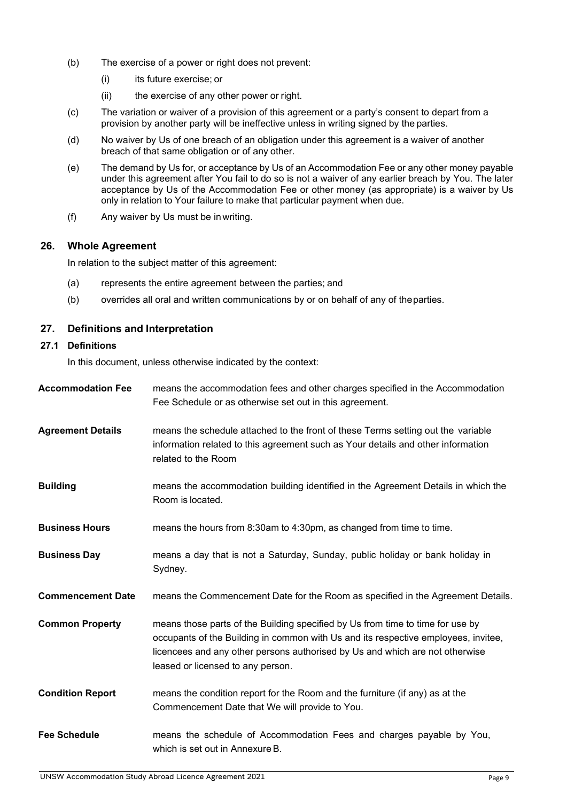- (b) The exercise of a power or right does not prevent:
	- (i) its future exercise; or
	- (ii) the exercise of any other power or right.
- (c) The variation or waiver of a provision of this agreement or a party's consent to depart from a provision by another party will be ineffective unless in writing signed by the parties.
- (d) No waiver by Us of one breach of an obligation under this agreement is a waiver of another breach of that same obligation or of any other.
- (e) The demand by Us for, or acceptance by Us of an Accommodation Fee or any other money payable under this agreement after You fail to do so is not a waiver of any earlier breach by You. The later acceptance by Us of the Accommodation Fee or other money (as appropriate) is a waiver by Us only in relation to Your failure to make that particular payment when due.
- (f) Any waiver by Us must be inwriting.

## **26. Whole Agreement**

In relation to the subject matter of this agreement:

- (a) represents the entire agreement between the parties; and
- (b) overrides all oral and written communications by or on behalf of any of theparties.

## **27. Definitions and Interpretation**

#### **27.1 Definitions**

In this document, unless otherwise indicated by the context:

| <b>Accommodation Fee</b> | means the accommodation fees and other charges specified in the Accommodation<br>Fee Schedule or as otherwise set out in this agreement.                                                                                                                                                  |
|--------------------------|-------------------------------------------------------------------------------------------------------------------------------------------------------------------------------------------------------------------------------------------------------------------------------------------|
| <b>Agreement Details</b> | means the schedule attached to the front of these Terms setting out the variable<br>information related to this agreement such as Your details and other information<br>related to the Room                                                                                               |
| <b>Building</b>          | means the accommodation building identified in the Agreement Details in which the<br>Room is located.                                                                                                                                                                                     |
| <b>Business Hours</b>    | means the hours from 8:30am to 4:30pm, as changed from time to time.                                                                                                                                                                                                                      |
| <b>Business Day</b>      | means a day that is not a Saturday, Sunday, public holiday or bank holiday in<br>Sydney.                                                                                                                                                                                                  |
| <b>Commencement Date</b> | means the Commencement Date for the Room as specified in the Agreement Details.                                                                                                                                                                                                           |
| <b>Common Property</b>   | means those parts of the Building specified by Us from time to time for use by<br>occupants of the Building in common with Us and its respective employees, invitee,<br>licencees and any other persons authorised by Us and which are not otherwise<br>leased or licensed to any person. |
| <b>Condition Report</b>  | means the condition report for the Room and the furniture (if any) as at the<br>Commencement Date that We will provide to You.                                                                                                                                                            |
| <b>Fee Schedule</b>      | means the schedule of Accommodation Fees and charges payable by You,<br>which is set out in Annexure B.                                                                                                                                                                                   |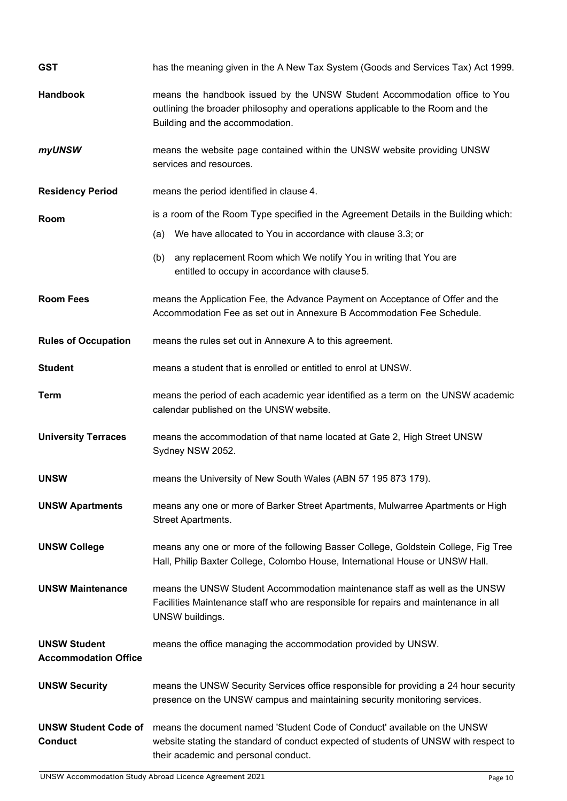| <b>GST</b>                                         | has the meaning given in the A New Tax System (Goods and Services Tax) Act 1999.                                                                                                                         |  |  |
|----------------------------------------------------|----------------------------------------------------------------------------------------------------------------------------------------------------------------------------------------------------------|--|--|
| <b>Handbook</b>                                    | means the handbook issued by the UNSW Student Accommodation office to You<br>outlining the broader philosophy and operations applicable to the Room and the<br>Building and the accommodation.           |  |  |
| myUNSW                                             | means the website page contained within the UNSW website providing UNSW<br>services and resources.                                                                                                       |  |  |
| <b>Residency Period</b>                            | means the period identified in clause 4.                                                                                                                                                                 |  |  |
| Room                                               | is a room of the Room Type specified in the Agreement Details in the Building which:                                                                                                                     |  |  |
|                                                    | We have allocated to You in accordance with clause 3.3; or<br>(a)                                                                                                                                        |  |  |
|                                                    | any replacement Room which We notify You in writing that You are<br>(b)<br>entitled to occupy in accordance with clause 5.                                                                               |  |  |
| <b>Room Fees</b>                                   | means the Application Fee, the Advance Payment on Acceptance of Offer and the<br>Accommodation Fee as set out in Annexure B Accommodation Fee Schedule.                                                  |  |  |
| <b>Rules of Occupation</b>                         | means the rules set out in Annexure A to this agreement.                                                                                                                                                 |  |  |
| <b>Student</b>                                     | means a student that is enrolled or entitled to enrol at UNSW.                                                                                                                                           |  |  |
| <b>Term</b>                                        | means the period of each academic year identified as a term on the UNSW academic<br>calendar published on the UNSW website.                                                                              |  |  |
| <b>University Terraces</b>                         | means the accommodation of that name located at Gate 2, High Street UNSW<br>Sydney NSW 2052.                                                                                                             |  |  |
| <b>UNSW</b>                                        | means the University of New South Wales (ABN 57 195 873 179).                                                                                                                                            |  |  |
| <b>UNSW Apartments</b>                             | means any one or more of Barker Street Apartments, Mulwarree Apartments or High<br>Street Apartments.                                                                                                    |  |  |
| <b>UNSW College</b>                                | means any one or more of the following Basser College, Goldstein College, Fig Tree<br>Hall, Philip Baxter College, Colombo House, International House or UNSW Hall.                                      |  |  |
| <b>UNSW Maintenance</b>                            | means the UNSW Student Accommodation maintenance staff as well as the UNSW<br>Facilities Maintenance staff who are responsible for repairs and maintenance in all<br>UNSW buildings.                     |  |  |
| <b>UNSW Student</b><br><b>Accommodation Office</b> | means the office managing the accommodation provided by UNSW.                                                                                                                                            |  |  |
| <b>UNSW Security</b>                               | means the UNSW Security Services office responsible for providing a 24 hour security<br>presence on the UNSW campus and maintaining security monitoring services.                                        |  |  |
| <b>UNSW Student Code of</b><br><b>Conduct</b>      | means the document named 'Student Code of Conduct' available on the UNSW<br>website stating the standard of conduct expected of students of UNSW with respect to<br>their academic and personal conduct. |  |  |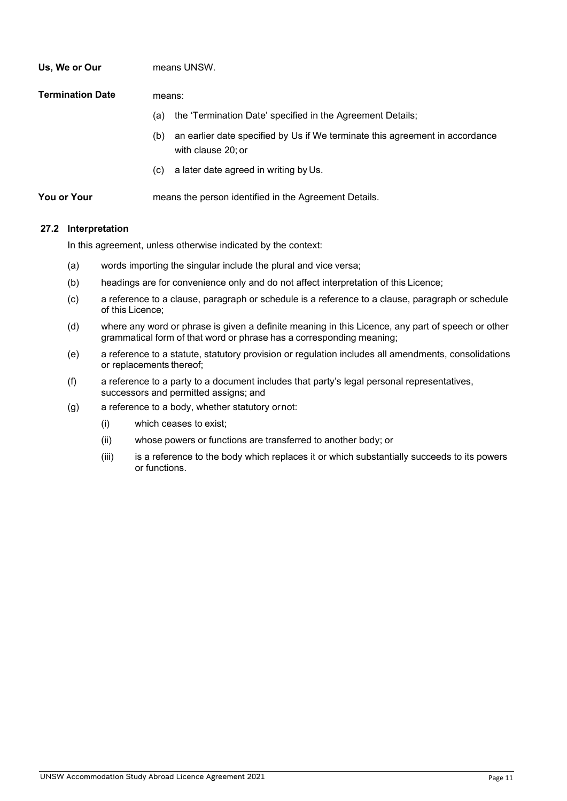| Us, We or Our    | means UNSW.                                                                                               |  |
|------------------|-----------------------------------------------------------------------------------------------------------|--|
| Termination Date | means:                                                                                                    |  |
|                  | the 'Termination Date' specified in the Agreement Details;<br>(a)                                         |  |
|                  | an earlier date specified by Us if We terminate this agreement in accordance<br>(b)<br>with clause 20: or |  |
|                  | a later date agreed in writing by Us.<br>(C)                                                              |  |
| You or Your      | means the person identified in the Agreement Details.                                                     |  |

#### **27.2 Interpretation**

In this agreement, unless otherwise indicated by the context:

- (a) words importing the singular include the plural and vice versa;
- (b) headings are for convenience only and do not affect interpretation of this Licence;
- (c) a reference to a clause, paragraph or schedule is a reference to a clause, paragraph or schedule of this Licence;
- (d) where any word or phrase is given a definite meaning in this Licence, any part of speech or other grammatical form of that word or phrase has a corresponding meaning;
- (e) a reference to a statute, statutory provision or regulation includes all amendments, consolidations or replacements thereof;
- (f) a reference to a party to a document includes that party's legal personal representatives, successors and permitted assigns; and
- (g) a reference to a body, whether statutory ornot:
	- (i) which ceases to exist;
	- (ii) whose powers or functions are transferred to another body; or
	- (iii) is a reference to the body which replaces it or which substantially succeeds to its powers or functions.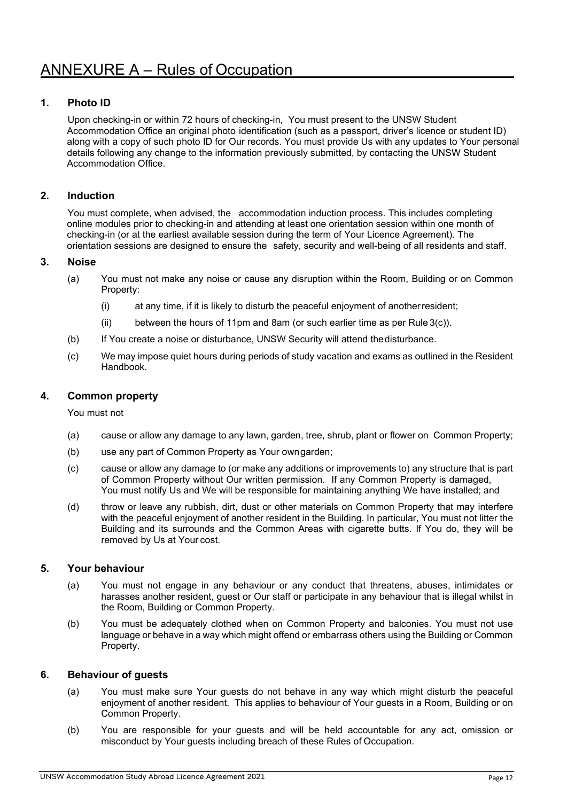## **1. Photo ID**

Upon checking-in or within 72 hours of checking-in, You must present to the UNSW Student Accommodation Office an original photo identification (such as a passport, driver's licence or student ID) along with a copy of such photo ID for Our records. You must provide Us with any updates to Your personal details following any change to the information previously submitted, by contacting the UNSW Student Accommodation Office.

## **2. Induction**

You must complete, when advised, the accommodation induction process. This includes completing online modules prior to checking-in and attending at least one orientation session within one month of checking-in (or at the earliest available session during the term of Your Licence Agreement). The orientation sessions are designed to ensure the safety, security and well-being of all residents and staff.

#### **3. Noise**

- (a) You must not make any noise or cause any disruption within the Room, Building or on Common Property:
	- (i) at any time, if it is likely to disturb the peaceful enjoyment of anotherresident;
	- (ii) between the hours of 11pm and 8am (or such earlier time as per Rule 3(c)).
- (b) If You create a noise or disturbance, UNSW Security will attend thedisturbance.
- (c) We may impose quiet hours during periods of study vacation and exams as outlined in the Resident Handbook.

## **4. Common property**

You must not

- (a) cause or allow any damage to any lawn, garden, tree, shrub, plant or flower on Common Property;
- (b) use any part of Common Property as Your owngarden;
- (c) cause or allow any damage to (or make any additions or improvements to) any structure that is part of Common Property without Our written permission. If any Common Property is damaged, You must notify Us and We will be responsible for maintaining anything We have installed; and
- (d) throw or leave any rubbish, dirt, dust or other materials on Common Property that may interfere with the peaceful enjoyment of another resident in the Building. In particular, You must not litter the Building and its surrounds and the Common Areas with cigarette butts. If You do, they will be removed by Us at Your cost.

#### **5. Your behaviour**

- (a) You must not engage in any behaviour or any conduct that threatens, abuses, intimidates or harasses another resident, guest or Our staff or participate in any behaviour that is illegal whilst in the Room, Building or Common Property.
- (b) You must be adequately clothed when on Common Property and balconies. You must not use language or behave in a way which might offend or embarrass others using the Building or Common Property.

#### **6. Behaviour of guests**

- (a) You must make sure Your guests do not behave in any way which might disturb the peaceful enjoyment of another resident. This applies to behaviour of Your guests in a Room, Building or on Common Property.
- (b) You are responsible for your guests and will be held accountable for any act, omission or misconduct by Your guests including breach of these Rules of Occupation.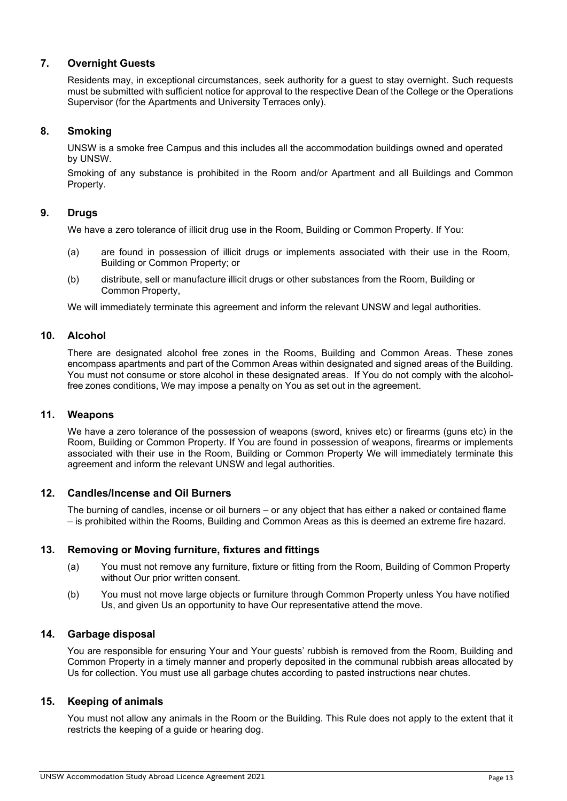## **7. Overnight Guests**

Residents may, in exceptional circumstances, seek authority for a guest to stay overnight. Such requests must be submitted with sufficient notice for approval to the respective Dean of the College or the Operations Supervisor (for the Apartments and University Terraces only).

## **8. Smoking**

UNSW is a smoke free Campus and this includes all the accommodation buildings owned and operated by UNSW.

Smoking of any substance is prohibited in the Room and/or Apartment and all Buildings and Common Property.

## **9. Drugs**

We have a zero tolerance of illicit drug use in the Room, Building or Common Property. If You:

- (a) are found in possession of illicit drugs or implements associated with their use in the Room, Building or Common Property; or
- (b) distribute, sell or manufacture illicit drugs or other substances from the Room, Building or Common Property,

We will immediately terminate this agreement and inform the relevant UNSW and legal authorities.

#### **10. Alcohol**

There are designated alcohol free zones in the Rooms, Building and Common Areas. These zones encompass apartments and part of the Common Areas within designated and signed areas of the Building. You must not consume or store alcohol in these designated areas. If You do not comply with the alcoholfree zones conditions, We may impose a penalty on You as set out in the agreement.

#### **11. Weapons**

We have a zero tolerance of the possession of weapons (sword, knives etc) or firearms (guns etc) in the Room, Building or Common Property. If You are found in possession of weapons, firearms or implements associated with their use in the Room, Building or Common Property We will immediately terminate this agreement and inform the relevant UNSW and legal authorities.

## **12. Candles/Incense and Oil Burners**

The burning of candles, incense or oil burners – or any object that has either a naked or contained flame – is prohibited within the Rooms, Building and Common Areas as this is deemed an extreme fire hazard.

## **13. Removing or Moving furniture, fixtures and fittings**

- (a) You must not remove any furniture, fixture or fitting from the Room, Building of Common Property without Our prior written consent.
- (b) You must not move large objects or furniture through Common Property unless You have notified Us, and given Us an opportunity to have Our representative attend the move.

#### **14. Garbage disposal**

You are responsible for ensuring Your and Your guests' rubbish is removed from the Room, Building and Common Property in a timely manner and properly deposited in the communal rubbish areas allocated by Us for collection. You must use all garbage chutes according to pasted instructions near chutes.

## **15. Keeping of animals**

You must not allow any animals in the Room or the Building. This Rule does not apply to the extent that it restricts the keeping of a guide or hearing dog.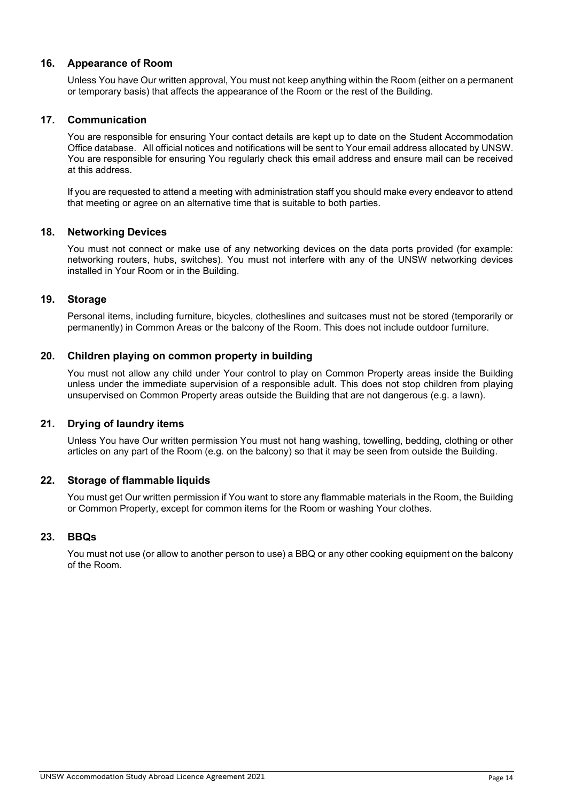## **16. Appearance of Room**

Unless You have Our written approval, You must not keep anything within the Room (either on a permanent or temporary basis) that affects the appearance of the Room or the rest of the Building.

#### **17. Communication**

You are responsible for ensuring Your contact details are kept up to date on the Student Accommodation Office database. All official notices and notifications will be sent to Your email address allocated by UNSW. You are responsible for ensuring You regularly check this email address and ensure mail can be received at this address.

If you are requested to attend a meeting with administration staff you should make every endeavor to attend that meeting or agree on an alternative time that is suitable to both parties.

#### **18. Networking Devices**

You must not connect or make use of any networking devices on the data ports provided (for example: networking routers, hubs, switches). You must not interfere with any of the UNSW networking devices installed in Your Room or in the Building.

#### **19. Storage**

Personal items, including furniture, bicycles, clotheslines and suitcases must not be stored (temporarily or permanently) in Common Areas or the balcony of the Room. This does not include outdoor furniture.

#### **20. Children playing on common property in building**

You must not allow any child under Your control to play on Common Property areas inside the Building unless under the immediate supervision of a responsible adult. This does not stop children from playing unsupervised on Common Property areas outside the Building that are not dangerous (e.g. a lawn).

#### **21. Drying of laundry items**

Unless You have Our written permission You must not hang washing, towelling, bedding, clothing or other articles on any part of the Room (e.g. on the balcony) so that it may be seen from outside the Building.

#### **22. Storage of flammable liquids**

You must get Our written permission if You want to store any flammable materials in the Room, the Building or Common Property, except for common items for the Room or washing Your clothes.

#### **23. BBQs**

You must not use (or allow to another person to use) a BBQ or any other cooking equipment on the balcony of the Room.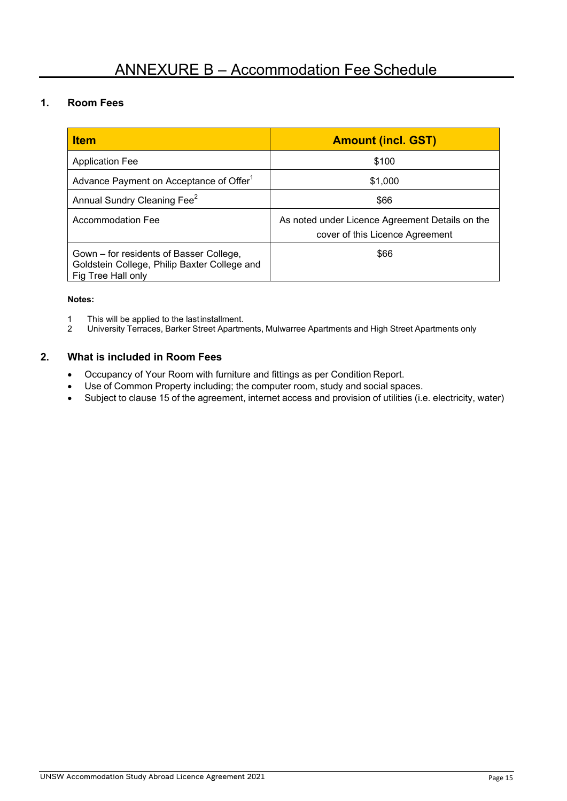# **1. Room Fees**

| <b>Item</b>                                                                                                   | <b>Amount (incl. GST)</b>                                                          |  |
|---------------------------------------------------------------------------------------------------------------|------------------------------------------------------------------------------------|--|
| <b>Application Fee</b>                                                                                        | \$100                                                                              |  |
| Advance Payment on Acceptance of Offer <sup>1</sup>                                                           | \$1,000                                                                            |  |
| Annual Sundry Cleaning Fee <sup>2</sup>                                                                       | \$66                                                                               |  |
| <b>Accommodation Fee</b>                                                                                      | As noted under Licence Agreement Details on the<br>cover of this Licence Agreement |  |
| Gown – for residents of Basser College,<br>Goldstein College, Philip Baxter College and<br>Fig Tree Hall only | \$66                                                                               |  |

#### **Notes:**

- 1 This will be applied to the lastinstallment.<br>2 University Terraces, Barker Street Apartm
- 2 University Terraces, Barker Street Apartments, Mulwarree Apartments and High Street Apartments only

## **2. What is included in Room Fees**

- Occupancy of Your Room with furniture and fittings as per Condition Report.
- Use of Common Property including; the computer room, study and social spaces.
- Subject to clause 15 of the agreement, internet access and provision of utilities (i.e. electricity, water)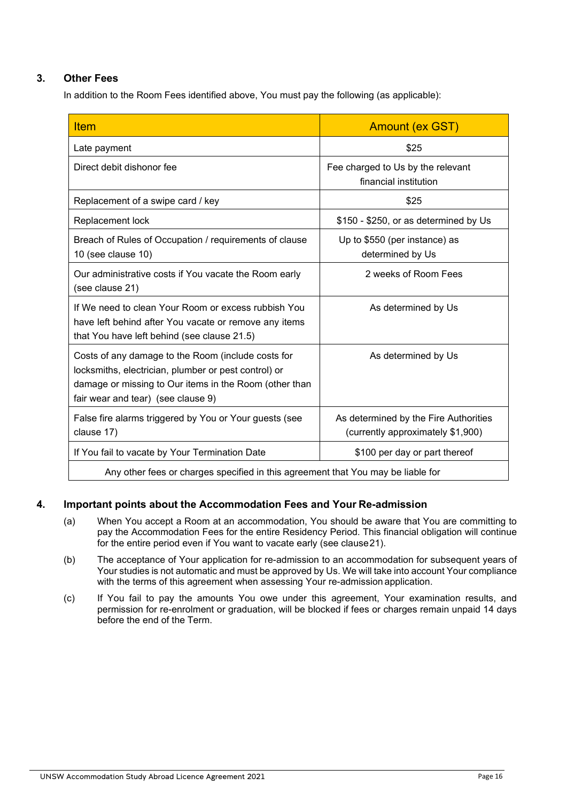# **3. Other Fees**

In addition to the Room Fees identified above, You must pay the following (as applicable):

| <b>Item</b>                                                                                                                                                                                                | <b>Amount (ex GST)</b>                                                     |  |  |
|------------------------------------------------------------------------------------------------------------------------------------------------------------------------------------------------------------|----------------------------------------------------------------------------|--|--|
| Late payment                                                                                                                                                                                               | \$25                                                                       |  |  |
| Direct debit dishonor fee                                                                                                                                                                                  | Fee charged to Us by the relevant<br>financial institution                 |  |  |
| Replacement of a swipe card / key                                                                                                                                                                          | \$25                                                                       |  |  |
| Replacement lock                                                                                                                                                                                           | \$150 - \$250, or as determined by Us                                      |  |  |
| Breach of Rules of Occupation / requirements of clause<br>10 (see clause 10)                                                                                                                               | Up to \$550 (per instance) as<br>determined by Us                          |  |  |
| Our administrative costs if You vacate the Room early<br>(see clause 21)                                                                                                                                   | 2 weeks of Room Fees                                                       |  |  |
| If We need to clean Your Room or excess rubbish You<br>have left behind after You vacate or remove any items<br>that You have left behind (see clause 21.5)                                                | As determined by Us                                                        |  |  |
| Costs of any damage to the Room (include costs for<br>locksmiths, electrician, plumber or pest control) or<br>damage or missing to Our items in the Room (other than<br>fair wear and tear) (see clause 9) | As determined by Us                                                        |  |  |
| False fire alarms triggered by You or Your guests (see<br>clause 17)                                                                                                                                       | As determined by the Fire Authorities<br>(currently approximately \$1,900) |  |  |
| If You fail to vacate by Your Termination Date                                                                                                                                                             | \$100 per day or part thereof                                              |  |  |
| Any other fees or charges specified in this agreement that You may be liable for                                                                                                                           |                                                                            |  |  |

## **4. Important points about the Accommodation Fees and Your Re-admission**

- (a) When You accept a Room at an accommodation, You should be aware that You are committing to pay the Accommodation Fees for the entire Residency Period. This financial obligation will continue for the entire period even if You want to vacate early (see clause21).
- (b) The acceptance of Your application for re-admission to an accommodation for subsequent years of Your studies is not automatic and must be approved by Us. We will take into account Your compliance with the terms of this agreement when assessing Your re-admission application.
- (c) If You fail to pay the amounts You owe under this agreement, Your examination results, and permission for re-enrolment or graduation, will be blocked if fees or charges remain unpaid 14 days before the end of the Term.